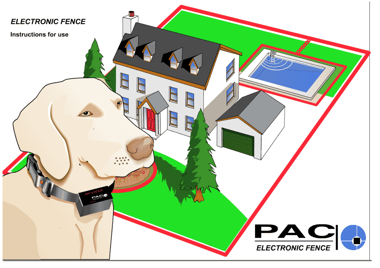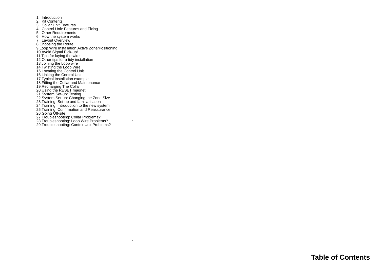1. Introduction 2. Kit Contents 3. Collar Unit Features 4. Control Unit: Features and Fixing 5. Other Requirements 6. How the system works 7. Layout Overview 8.Choosing the Route 9.Loop Wire Installation:Active Zone/Positioning<br>10.Avoid Signal Pick-up!<br>11.Tips for laying the wire<br>12.Other tips for a tidy installation<br>13.Joining the Loop wire<br>14.Twisting the Loop Wire 15.Locating the Control Unit<br>16.Linking the Control Unit<br>17.Typical Installation example<br>18.Eriting the Collar and Maintenance<br>19.Recharging The Collar<br>21.Using the RESET magnet<br>21.System Set-up: Testing<br>22.System Set-up: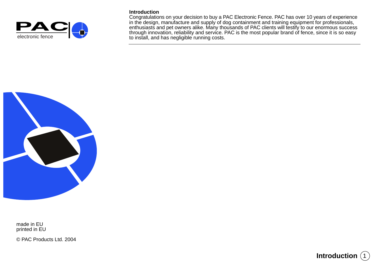

## **Introduction**

Congratulations on your decision to buy a PAC Electronic Fence. PAC has over 10 years of experience in the design, manufacture and supply of dog containment and training equipment for professionals, enthusiasts and pet owners alike. Many thousands of PAC clients will testify to our enormous success The Community of through innovation, reliability and service. PAC is the most popular brand of fence, since it is so easy<br>electronic fence to install, and has negligible running costs.



made in EU printed in EU

© PAC Products Ltd. 2004

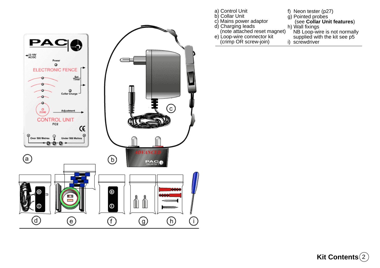

| (see Collar Unit features)   |
|------------------------------|
|                              |
| NB Loop-wire is not normally |
| supplied with the kit see p5 |
|                              |
|                              |

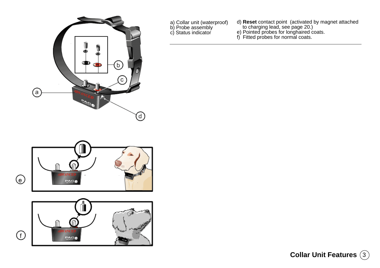

- a) Collar unit (waterproof) b) Probe assembly c) Status indicator
- d) **Reset** contact point (activated by magnet attached to charging lead, see page 20.)
- e) Pointed probes for longhaired coats.
- f) Fitted probes for normal coats.



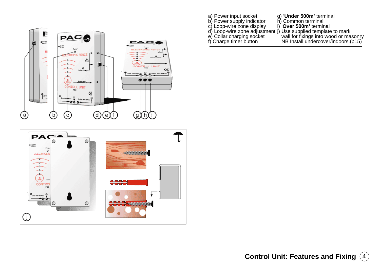



- a) Power input socket
- g) '**Under 500m'** terminal h) Common terminal b) Power supply indicator c) Loop-wire zone display
	- i) '**Over 500m'** terminal
- j) Use supplied template to mark d) Loop-wire zone adjustment
- e) Collar charging socket
- f) Charge timer button
- wall for fixings into wood or masonry NB Install undercover/indoors.(p15)

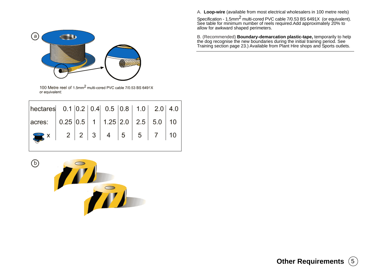A. **Loop-wire** (available from most electrical wholesalers in 100 metre reels)

Specification - 1.5mm<sup>2</sup> multi-cored PVC cable 7/0.53 BS 6491X (or equivalent).<br>See table for minimum number of reels required.Add approximately 20% to allow for awkward shaped perimeters.

B. (Recommended) **Boundary-demarcation plastic-tape,** temporarily to help<br>the dog recognise the new boundaries during the initial training period. See<br>Training section page 23.) Available from Plant Hire shops and Sports o



100 Metre reel of 1.5mm<sup>2</sup> multi-cored PVC cable 7/0.53 BS 6491X or equivalent:

| hectares $0.1  0.2  0.4  0.5  0.8  1.0  2.0  4.0$                                                                     |  |  |  |  |
|-----------------------------------------------------------------------------------------------------------------------|--|--|--|--|
| $\vert$ acres: $\vert$ 0.25 $\vert$ 0.5 $\vert$ 1 $\vert$ 1.25 $\vert$ 2.0 $\vert$ 2.5 $\vert$ 5.0 $\vert$ 10 $\vert$ |  |  |  |  |
|                                                                                                                       |  |  |  |  |
|                                                                                                                       |  |  |  |  |



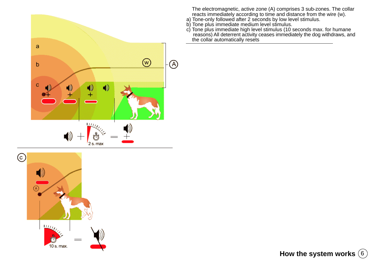



 The electromagnetic, active zone (A) comprises 3 sub-zones. The collar reacts immediately according to time and distance from the wire (w).

- a) Tone-only followed after 2 seconds by low level stimulus.
- b) Tone plus immediate medium level stimulus.
- c) Tone plus immediate high level stimulus (10 seconds max. for humane reasons) All deterrent activity ceases immediately the dog withdraws, and the collar automatically resets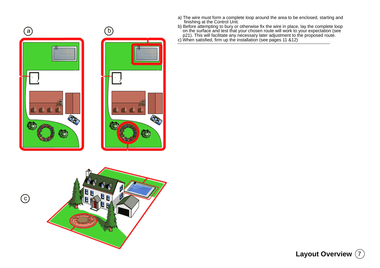

 $_{\odot}$ 



- 
- a) The wire must form a complete loop around the area to be enclosed, starting and<br>finishing at the Control Unit.<br>Defore attempting to bury or otherwise fix the wire in place, lay the complete loop<br>on the surface and test
- 

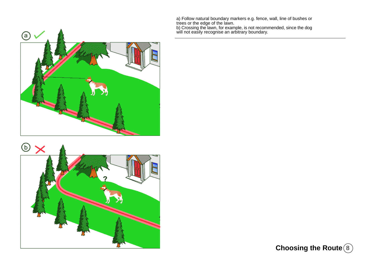a) Follow natural boundary markers e.g. fence, wall, line of bushes or<br>trees or the edge of the lawn.<br>b) Crossing the lawn, for example, is not recommended, since the dog<br>will not easily recognise an arbitrary boundary.





**Choosing the Route** (8)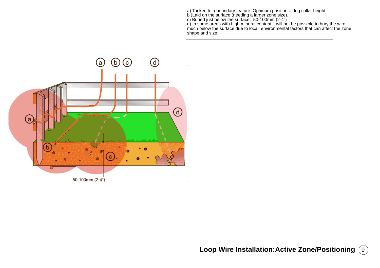a) Tacked to a boundary feature. Optimum position = dog collar height.<br>b )Laid on the surface (needing a larger zone size).<br>c) Buried just below the surface. 50-100mm (2-4")<br>d) In some areas with high mineral content it wi shape and size.

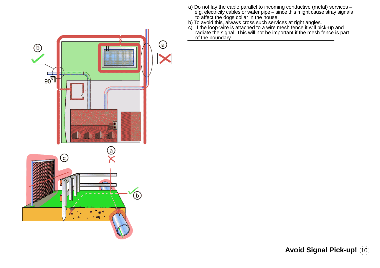- a) Do not lay the cable parallel to incoming conductive (metal) services e.g. electricity cables or water pipe – since this might cause stray signals to affect the dogs collar in the house.
- b) To avoid this, always cross such services at right angles.
- c) If the loop-wire is attached to a wire mesh fence it will pick-up and radiate the signal. This will not be important if the mesh fence is part of the boundary.



**Avoid Signal Pick-up!** (10)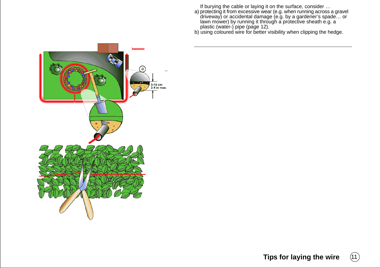If burying the cable or laying it on the surface, consider …

- a) protecting it from excessive wear (e.g. when running across a gravel driveway) or accidental damage (e.g. by a gardener's spade… or lawn mower) by running it through a protective sheath e.g. a plastic (water-) pipe (page 12).
- b) using coloured wire for better visibility when clipping the hedge.



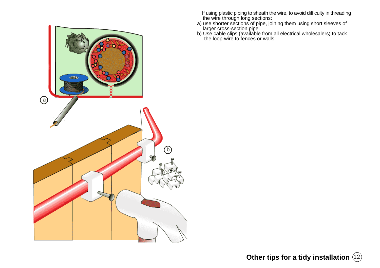

 If using plastic piping to sheath the wire, to avoid difficulty in threading the wire through long sections:

- a) use shorter sections of pipe, joining them using short sleeves of larger cross-section pipe.
- b) Use cable clips (available from all electrical wholesalers) to tack the loop-wire to fences or walls.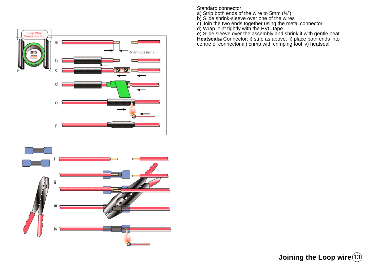



Standard connector:

- a) Strip both ends of the wire to 5mm (¼")
- b) Slide shrink-sleeve over one of the wires
- c) Join the two ends together using the metal connector
- d) Wrap joint tightly with the PVC tape

e) Slide sleeve over the assembly and shrink it with gentle heat.

**Heatseal**tm Connector: i) strip as above, ii) place both ends into centre of connector iii) crimp with crimping tool iv) heatseal

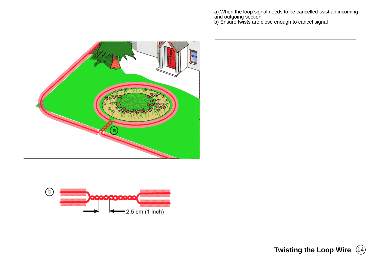a).When the loop signal needs to be cancelled twist an incoming and outgoing section b) Ensure twists are close enough to cancel signal





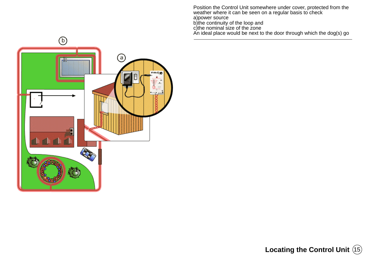Position the Control Unit somewhere under cover, protected from the weather where it can be seen on a regular basis to check a)power source b)the continuity of the loop and c)the nominal size of the zone An ideal place would be next to the door through which the dog(s) go



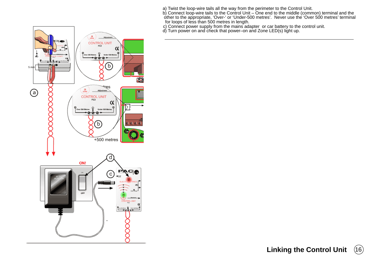a) Twist the loop-wire tails all the way from the perimeter to the Control Unit.<br>b) Connect loop-wire tails to the Control Unit – One end to the middle (common) terminal and the<br>other to the appropriate, 'Over-' or 'Under-

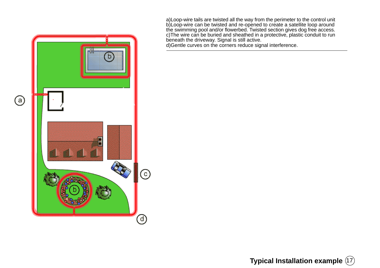a)Loop-wire tails are twisted all the way from the perimeter to the control unit b)Loop-wire can be twisted and re-opened to create a satellite loop around the swimming pool and/or flowerbed. Twisted section gives dog free access. c)The wire can be buried and sheathed in a protective, plastic conduit to run beneath the driveway. Signal is still active.

d)Gentle curves on the corners reduce signal interference.



**Typical Installation example** (17)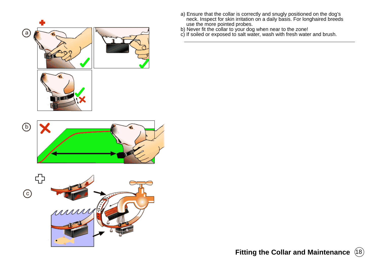

- a) Ensure that the collar is correctly and snugly positioned on the dog's neck. Inspect for skin irritation on a daily basis. For longhaired breeds use the more pointed probes.
- b) Never fit the collar to your dog when near to the zone!
- c) If soiled or exposed to salt water, wash with fresh water and brush.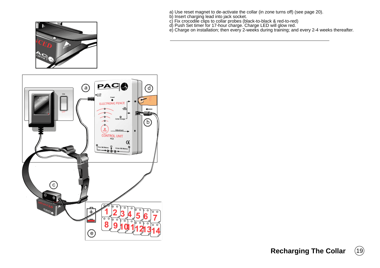- 
- 
- 
- 
- a) Use reset magnet to de-activate the collar (in zone turns off) (see page 20).<br>b) Insert charging lead into jack socket.<br>c) Fix crocodile clips to collar probes (black-to-black & red-to-red)<br>d) Push Set timer for 17-hour



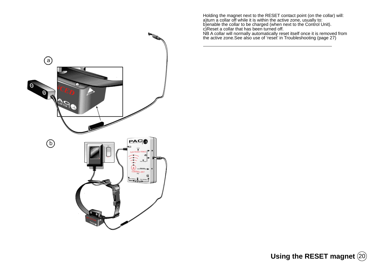(a) 0 O READ PAC **ROL UNIT**  $70000$ 

Holding the magnet next to the RESET contact point (on the collar) will:<br>a)turn a collar off while it is within the active zone, usually to:<br>b)enable the collar to be charged (when next to the Control Unit).<br>c)Reset a coll

**Using the RESET magnet** (20)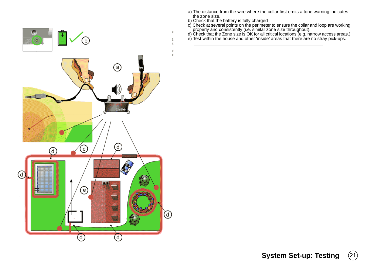

- a) The distance from the wire where the collar first emits a tone warning indicates the zone size.
- b) Check that the battery is fully charged
- c) Check at several points on the perimeter to ensure the collar and loop are working<br>properly and consistently (i.e. similar zone size throughout).<br>d) Check that the Zone size is OK for all critical locations (e.g. narrow
- 
- 

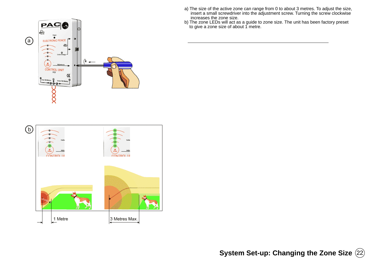



- a) The size of the active zone can range from 0 to about 3 metres. To adjust the size, insert a small screwdriver into the adjustment screw. Turning the screw clockwise increases the zone size.
- b) The zone LEDs will act as a guide to zone size. The unit has been factory preset to give a zone size of about 1 metre.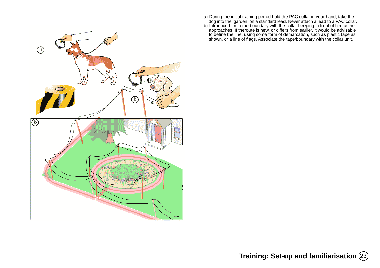

- 
- a) During the initial training period hold the PAC collar in your hand, take the<br>dog into the 'garden' on a standard lead. Never attach a lead to a PAC collar.<br>Introduce him to the boundary with the collar beeping in front

**Training: Set-up and familiarisation**  $(23)$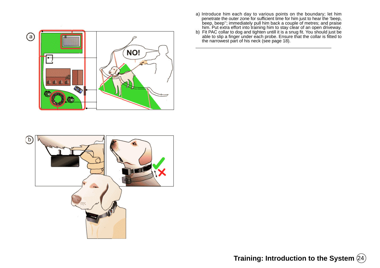

- a) Introduce him each day to various points on the boundary; let him<br>penetrate the outer zone for sufficient time for him just to hear the 'beep,<br>beep,'' immediately pull him back a couple of metres; and praise<br>him. Put ex
- 



**Training: Introduction to the System**  $(24)$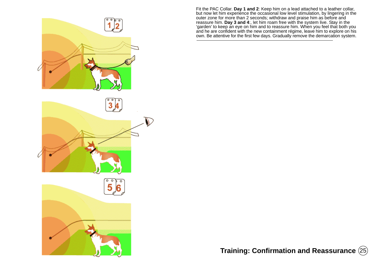

Fit the PAC Collar. **Day 1 and 2**: Keep him on a lead attached to a leather collar,<br>but now let him experience the occasional low level stimulation, by lingering in the<br>outer zone for more than 2 seconds; withdraw and prai reassure him. **Day 3 and 4**:, let him roam free with the system live. Stay in the 'garden' to keep an eye on him and to reassure him. When you feel that both you and he are confident with the new containment régime, leave him to explore on his own. Be attentive for the first few days. Gradually remove the demarcation system.

**Training: Confirmation and Reassurance** 25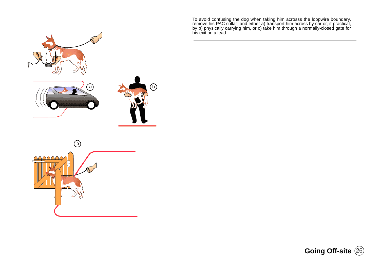To avoid confusing the dog when taking him acrosss the loopwire boundary,<br>remove his PAC collar and either a) transport him across by car or, if practical,<br>by b) physically carrying him, or c) take him through a normally-





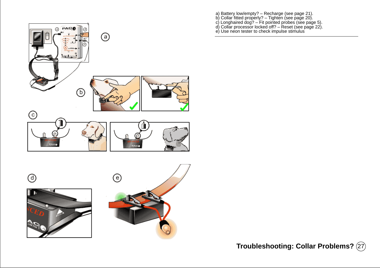

- a) Battery low/empty? Recharge (see page 21).<br>b) Collar fitted properly? Tighten (see page 20).<br>c) Longhaired dog? Fit pointed probes (see page 5).<br>d) Collar processor locked off? Reset (see page 22).<br>e) Use neon t
- 
- 

**Troubleshooting: Collar Problems?** (27)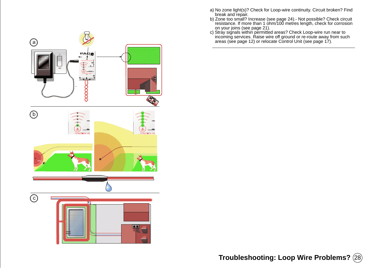

- break and repair. b) Zone too small? Increase (see page 24).- Not possible? Check circuit resistance. If more than 1 ohm/100 metres length, check for corrosion
- on your joins (see page 21).<br>
c) Stray signals within permitted areas? Check Loop-wire run near to<br>
incoming services. Raise wire off ground or re-route away from such<br>
areas (see page 12) or relocate Control Unit (see pag



**Troubleshooting: Loop Wire Problems?** (28)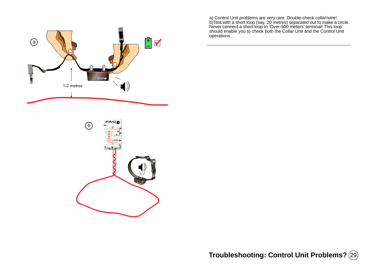

a) Control Unit problems are very rare. Double-check collar/wire!<br>b)Test with a short loop (say, 20 metres) separated out to make a circle.<br>Never connect a short loop to 'Over-500 meters' terminal! This loop<br>should enable operations.



**Troubleshooting: Control Unit Problems?** 29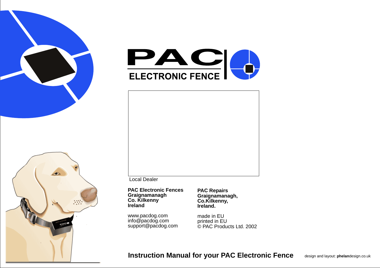





Local Dealer

**PAC Electronic Fences Graignamanagh Co. Kilkenny Ireland**

www.pacdog.com info@pacdog.com support@pacdog.com **PAC Repairs Graignamanagh, Co.Kilkenny, Ireland.**

made in EU printed in EU © PAC Products Ltd. 2002

**Instruction Manual for your PAC Electronic Fence** design and layout: **phelan**design.co.uk